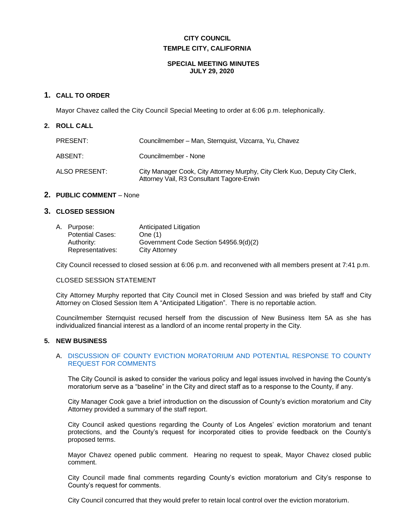# **CITY COUNCIL TEMPLE CITY, CALIFORNIA**

#### **SPECIAL MEETING MINUTES JULY 29, 2020**

## **1. CALL TO ORDER**

Mayor Chavez called the City Council Special Meeting to order at 6:06 p.m. telephonically.

#### **2. ROLL CALL**

| PRESENT:      | Councilmember – Man, Sternquist, Vizcarra, Yu, Chavez                                                                    |
|---------------|--------------------------------------------------------------------------------------------------------------------------|
| ABSENT:       | Councilmember - None                                                                                                     |
| ALSO PRESENT: | City Manager Cook, City Attorney Murphy, City Clerk Kuo, Deputy City Clerk,<br>Attorney Vail, R3 Consultant Tagore-Erwin |

#### **2. PUBLIC COMMENT** – None

#### **3. CLOSED SESSION**

| A. Purpose:             | Anticipated Litigation                |
|-------------------------|---------------------------------------|
| <b>Potential Cases:</b> | One $(1)$                             |
| Authority:              | Government Code Section 54956.9(d)(2) |
| Representatives:        | City Attorney                         |

City Council recessed to closed session at 6:06 p.m. and reconvened with all members present at 7:41 p.m.

#### CLOSED SESSION STATEMENT

City Attorney Murphy reported that City Council met in Closed Session and was briefed by staff and City Attorney on Closed Session Item A "Anticipated Litigation". There is no reportable action.

Councilmember Sternquist recused herself from the discussion of New Business Item 5A as she has individualized financial interest as a landlord of an income rental property in the City.

#### **5. NEW BUSINESS**

#### A. [DISCUSSION OF COUNTY EVICTION MORATORIUM AND POTENTIAL RESPONSE TO COUNTY](https://ca-templecity.civicplus.com/DocumentCenter/View/14861/5A---Staff-Report---County-Eviction-Moratorium-discussion-staff-report-4812-9457-2485-v1)  [REQUEST FOR COMMENTS](https://ca-templecity.civicplus.com/DocumentCenter/View/14861/5A---Staff-Report---County-Eviction-Moratorium-discussion-staff-report-4812-9457-2485-v1)

The City Council is asked to consider the various policy and legal issues involved in having the County's moratorium serve as a "baseline" in the City and direct staff as to a response to the County, if any.

City Manager Cook gave a brief introduction on the discussion of County's eviction moratorium and City Attorney provided a summary of the staff report.

City Council asked questions regarding the County of Los Angeles' eviction moratorium and tenant protections, and the County's request for incorporated cities to provide feedback on the County's proposed terms.

Mayor Chavez opened public comment. Hearing no request to speak, Mayor Chavez closed public comment.

City Council made final comments regarding County's eviction moratorium and City's response to County's request for comments.

City Council concurred that they would prefer to retain local control over the eviction moratorium.